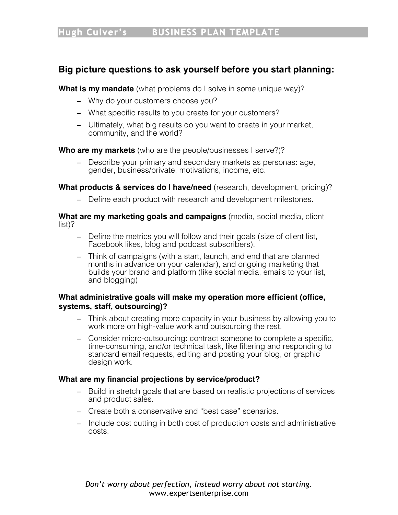# **Big picture questions to ask yourself before you start planning:**

**What is my mandate** (what problems do I solve in some unique way)?

- − Why do your customers choose you?
- − What specific results to you create for your customers?
- − Ultimately, what big results do you want to create in your market, community, and the world?

**Who are my markets** (who are the people/businesses I serve?)?

− Describe your primary and secondary markets as personas: age, gender, business/private, motivations, income, etc.

**What products & services do I have/need** (research, development, pricing)?

− Define each product with research and development milestones.

**What are my marketing goals and campaigns** (media, social media, client list)?

- − Define the metrics you will follow and their goals (size of client list, Facebook likes, blog and podcast subscribers).
- − Think of campaigns (with a start, launch, and end that are planned months in advance on your calendar), and ongoing marketing that builds your brand and platform (like social media, emails to your list, and blogging)

### **What administrative goals will make my operation more efficient (office, systems, staff, outsourcing)?**

- − Think about creating more capacity in your business by allowing you to work more on high-value work and outsourcing the rest.
- − Consider micro-outsourcing: contract someone to complete a specific, time-consuming, and/or technical task, like filtering and responding to standard email requests, editing and posting your blog, or graphic design work.

### **What are my financial projections by service/product?**

- − Build in stretch goals that are based on realistic projections of services and product sales.
- − Create both a conservative and "best case" scenarios.
- − Include cost cutting in both cost of production costs and administrative costs.